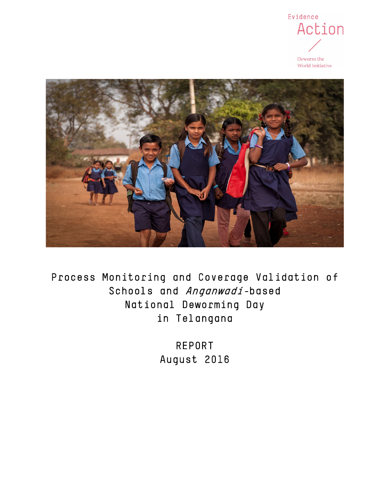

Deworm the World Initiative



Process Monitoring and Coverage Validation of Schools and Anganwadi-based National Deworming Day in Telangana

> REPORT August 2016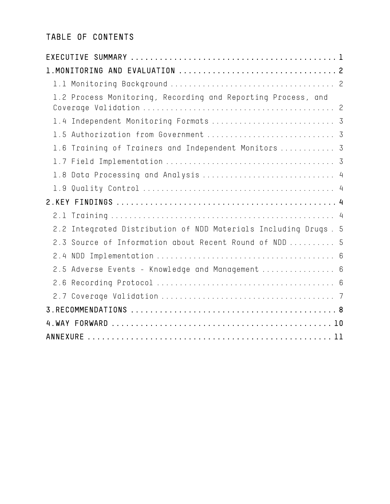# TABLE OF CONTENTS

| 1.2 Process Monitoring, Recording and Reporting Process, and       |
|--------------------------------------------------------------------|
| 1.4 Independent Monitoring Formats  3                              |
| 1.5 Authorization from Government  3                               |
| 1.6 Training of Trainers and Independent Monitors  3               |
|                                                                    |
| 1.8 Data Processing and Analysis  4                                |
|                                                                    |
|                                                                    |
| 2.1                                                                |
| Integrated Distribution of NDD Materials Including Drugs. 5<br>2.2 |
| 2.3 Source of Information about Recent Round of NDD  5             |
|                                                                    |
| 2.5 Adverse Events - Knowledge and Management  6                   |
|                                                                    |
|                                                                    |
|                                                                    |
|                                                                    |
|                                                                    |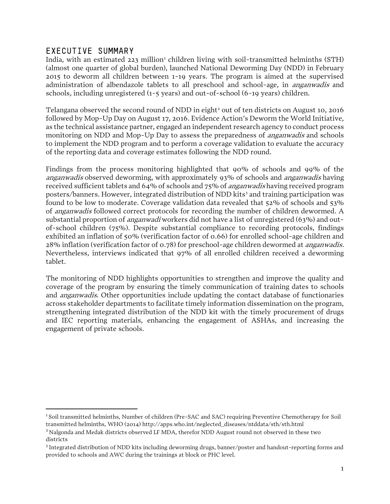## <span id="page-2-0"></span>EXECUTIVE SUMMARY

 $\overline{\phantom{a}}$ 

India, with an estimated 223 million<sup>1</sup> children living with soil-transmitted helminths (STH) (almost one quarter of global burden), launched National Deworming Day (NDD) in February 2015 to deworm all children between 1-19 years. The program is aimed at the supervised administration of albendazole tablets to all preschool and school-age, in *anganwadis* and schools, including unregistered (1-5 years) and out-of-school (6-19 years) children.

Telangana observed the second round of NDD in eight<sup>[2](#page-2-2)</sup> out of ten districts on August 10, 2016 followed by Mop-Up Day on August 17, 2016. Evidence Action's Deworm the World Initiative, as the technical assistance partner, engaged an independent research agency to conduct process monitoring on NDD and Mop-Up Day to assess the preparedness of *anganwadis* and schools to implement the NDD program and to perform a coverage validation to evaluate the accuracy of the reporting data and coverage estimates following the NDD round.

Findings from the process monitoring highlighted that 90% of schools and 99% of the anganwadis observed deworming, with approximately 93% of schools and anganwadis having received sufficient tablets and 64% of schools and 75% of *anganwadis* having received program posters/banners. However, integrated distribution of NDD kits<sup>[3](#page-2-3)</sup> and training participation was found to be low to moderate. Coverage validation data revealed that 52% of schools and 53% of anganwadis followed correct protocols for recording the number of children dewormed. A substantial proportion of *anganwadi* workers did not have a list of unregistered (63%) and outof-school children (75%). Despite substantial compliance to recording protocols, findings exhibited an inflation of 50% (verification factor of 0.66) for enrolled school-age children and 28% inflation (verification factor of 0.78) for preschool-age children dewormed at *anganwadis.* Nevertheless, interviews indicated that 97% of all enrolled children received a deworming tablet.

The monitoring of NDD highlights opportunities to strengthen and improve the quality and coverage of the program by ensuring the timely communication of training dates to schools and *anganwadis*. Other opportunities include updating the contact database of functionaries across stakeholder departments to facilitate timely information dissemination on the program, strengthening integrated distribution of the NDD kit with the timely procurement of drugs and IEC reporting materials, enhancing the engagement of ASHAs, and increasing the engagement of private schools.

<span id="page-2-1"></span><sup>1</sup> Soil transmitted helminths, Number of children (Pre-SAC and SAC) requiring Preventive Chemotherapy for Soil transmitted helminths, WHO (2014) http://apps.who.int/neglected\_diseases/ntddata/sth/sth.html

<span id="page-2-2"></span><sup>&</sup>lt;sup>2</sup> Nalgonda and Medak districts observed LF MDA, therefor NDD August round not observed in these two districts

<span id="page-2-3"></span><sup>3</sup> Integrated distribution of NDD kits including deworming drugs, banner/poster and handout-reporting forms and provided to schools and AWC during the trainings at block or PHC level.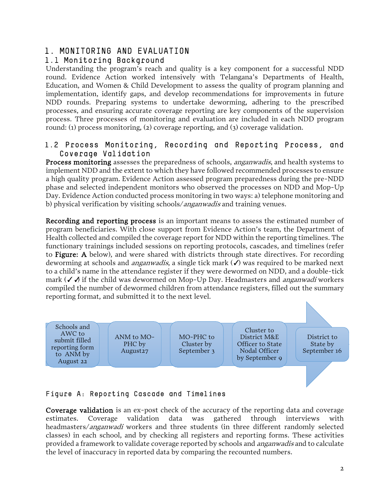# <span id="page-3-0"></span>1. MONITORING AND EVALUATION

# <span id="page-3-1"></span>1.1 Monitoring Background

Understanding the program's reach and quality is a key component for a successful NDD round. Evidence Action worked intensively with Telangana's Departments of Health, Education, and Women & Child Development to assess the quality of program planning and implementation, identify gaps, and develop recommendations for improvements in future NDD rounds. Preparing systems to undertake deworming, adhering to the prescribed processes, and ensuring accurate coverage reporting are key components of the supervision process. Three processes of monitoring and evaluation are included in each NDD program round: (1) process monitoring, (2) coverage reporting, and (3) coverage validation.

## <span id="page-3-2"></span>1.2 Process Monitoring, Recording and Reporting Process, and Coverage Validation

Process monitoring assesses the preparedness of schools, *anganwadis*, and health systems to implement NDD and the extent to which they have followed recommended processes to ensure a high quality program. Evidence Action assessed program preparedness during the pre-NDD phase and selected independent monitors who observed the processes on NDD and Mop-Up Day. Evidence Action conducted process monitoring in two ways: a) telephone monitoring and b) physical verification by visiting schools/anganwadis and training venues.

Recording and reporting process is an important means to assess the estimated number of program beneficiaries. With close support from Evidence Action's team, the Department of Health collected and compiled the coverage report for NDD within the reporting timelines. The functionary trainings included sessions on reporting protocols, cascades, and timelines (refer to Figure: A below), and were shared with districts through state directives. For recording deworming at schools and *anganwadis*, a single tick mark  $(\checkmark)$  was required to be marked next to a child's name in the attendance register if they were dewormed on NDD, and a double-tick mark (✓ ✓) if the child was dewormed on Mop-Up Day. Headmasters and *anganwadi* workers compiled the number of dewormed children from attendance registers, filled out the summary reporting format, and submitted it to the next level.



# Figure A: Reporting Cascade and Timelines

Coverage validation is an ex-post check of the accuracy of the reporting data and coverage estimates. Coverage validation data was gathered through interviews with headmasters/anganwadi workers and three students (in three different randomly selected classes) in each school, and by checking all registers and reporting forms. These activities provided a framework to validate coverage reported by schools and *anganwadis* and to calculate the level of inaccuracy in reported data by comparing the recounted numbers.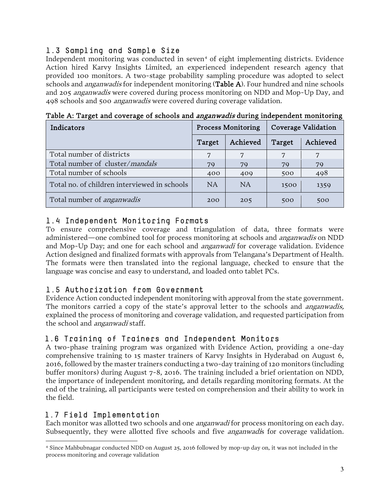# 1.3 Sampling and Sample Size

Independent monitoring was conducted in seven<sup>[4](#page-4-4)</sup> of eight implementing districts. Evidence Action hired Karvy Insights Limited, an experienced independent research agency that provided 100 monitors. A two-stage probability sampling procedure was adopted to select schools and *anganwadis* for independent monitoring (Table A). Four hundred and nine schools and 205 anganwadis were covered during process monitoring on NDD and Mop-Up Day, and 498 schools and 500 anganwadis were covered during coverage validation.

| Indicators                                   | <b>Process Monitoring</b> | <b>Coverage Validation</b> |        |          |
|----------------------------------------------|---------------------------|----------------------------|--------|----------|
|                                              | Target                    | Achieved                   | Target | Achieved |
| Total number of districts                    |                           |                            |        |          |
| Total number of cluster/mandals              | 79                        | 79                         | 79     | 79       |
| Total number of schools                      | 400                       | 409                        | 500    | 498      |
| Total no. of children interviewed in schools | <b>NA</b>                 | <b>NA</b>                  | 1500   | 1359     |
| Total number of <i>anganwadis</i>            | 200                       | 205                        | 500    | 500      |

Table A: Target and coverage of schools and *anganwadis* during independent monitoring

# <span id="page-4-0"></span>1.4 Independent Monitoring Formats

To ensure comprehensive coverage and triangulation of data, three formats were administered—one combined tool for process monitoring at schools and *anganwadis* on NDD and Mop-Up Day; and one for each school and anganwadi for coverage validation. Evidence Action designed and finalized formats with approvals from Telangana's Department of Health. The formats were then translated into the regional language, checked to ensure that the language was concise and easy to understand, and loaded onto tablet PCs.

# <span id="page-4-1"></span>1.5 Authorization from Government

Evidence Action conducted independent monitoring with approval from the state government. The monitors carried a copy of the state's approval letter to the schools and *anganwadis*, explained the process of monitoring and coverage validation, and requested participation from the school and *anganwadi* staff.

# <span id="page-4-2"></span>1.6 Training of Trainers and Independent Monitors

A two-phase training program was organized with Evidence Action, providing a one-day comprehensive training to 15 master trainers of Karvy Insights in Hyderabad on August 6, 2016, followed by the master trainers conducting a two-day training of 120 monitors (including buffer monitors) during August 7-8, 2016. The training included a brief orientation on NDD, the importance of independent monitoring, and details regarding monitoring formats. At the end of the training, all participants were tested on comprehension and their ability to work in the field.

## <span id="page-4-3"></span>1.7 Field Implementation

Each monitor was allotted two schools and one *anganwadi* for process monitoring on each day. Subsequently, they were allotted five schools and five *anganwadi*s for coverage validation.

<span id="page-4-4"></span> $\overline{a}$ <sup>4</sup> Since Mahbubnagar conducted NDD on August 25, 2016 followed by mop-up day on, it was not included in the process monitoring and coverage validation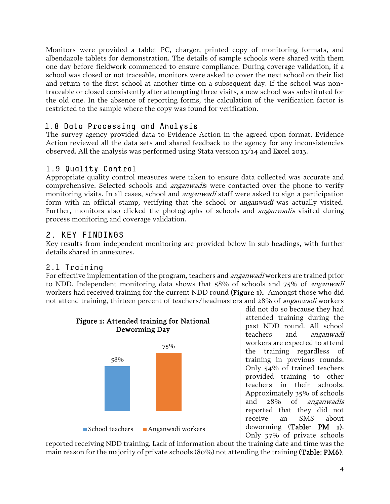Monitors were provided a tablet PC, charger, printed copy of monitoring formats, and albendazole tablets for demonstration. The details of sample schools were shared with them one day before fieldwork commenced to ensure compliance. During coverage validation, if a school was closed or not traceable, monitors were asked to cover the next school on their list and return to the first school at another time on a subsequent day. If the school was nontraceable or closed consistently after attempting three visits, a new school was substituted for the old one. In the absence of reporting forms, the calculation of the verification factor is restricted to the sample where the copy was found for verification.

# <span id="page-5-0"></span>1.8 Data Processing and Analysis

The survey agency provided data to Evidence Action in the agreed upon format. Evidence Action reviewed all the data sets and shared feedback to the agency for any inconsistencies observed. All the analysis was performed using Stata version 13/14 and Excel 2013.

# <span id="page-5-1"></span>1.9 Quality Control

Appropriate quality control measures were taken to ensure data collected was accurate and comprehensive. Selected schools and *anganwadi*s were contacted over the phone to verify monitoring visits. In all cases, school and *anganwadi* staff were asked to sign a participation form with an official stamp, verifying that the school or *anganwadi* was actually visited. Further, monitors also clicked the photographs of schools and *anganwadis* visited during process monitoring and coverage validation.

# <span id="page-5-2"></span>2. KEY FINDINGS

Key results from independent monitoring are provided below in sub headings, with further details shared in annexures.

# <span id="page-5-3"></span>2.1 Training

For effective implementation of the program, teachers and *anganwadi* workers are trained prior to NDD. Independent monitoring data shows that 58% of schools and 75% of anganwadi workers had received training for the current NDD round (Figure 1). Amongst those who did not attend training, thirteen percent of teachers/headmasters and 28% of *anganwadi* workers



did not do so because they had attended training during the past NDD round. All school teachers and anganwadi workers are expected to attend the training regardless of training in previous rounds. Only 54% of trained teachers provided training to other teachers in their schools. Approximately 35% of schools and 28% of anganwadis reported that they did not receive an SMS about deworming (Table: PM 1). Only 37% of private schools

reported receiving NDD training. Lack of information about the training date and time was the main reason for the majority of private schools (80%) not attending the training (Table: PM6).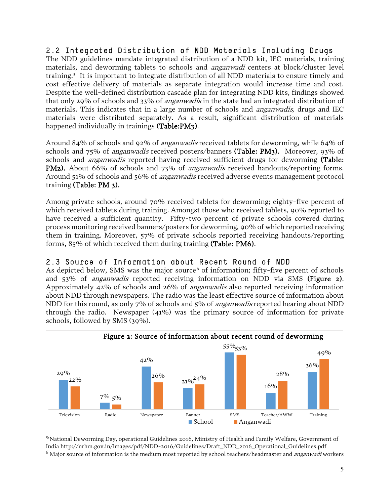<span id="page-6-0"></span>2.2 Integrated Distribution of NDD Materials Including Drugs

The NDD guidelines mandate integrated distribution of a NDD kit, IEC materials, training materials, and deworming tablets to schools and *anganwadi* centers at block/cluster level training. [5](#page-6-2) It is important to integrate distribution of all NDD materials to ensure timely and cost effective delivery of materials as separate integration would increase time and cost. Despite the well-defined distribution cascade plan for integrating NDD kits, findings showed that only 29% of schools and 33% of *anganwadis* in the state had an integrated distribution of materials. This indicates that in a large number of schools and *anganwadis*, drugs and IEC materials were distributed separately. As a result, significant distribution of materials happened individually in trainings (Table:PM3).

Around 84% of schools and 92% of anganwadis received tablets for deworming, while 64% of schools and 75% of anganwadis received posters/banners (Table: PM3). Moreover, 93% of schools and *anganwadis* reported having received sufficient drugs for deworming (Table: PM2). About 66% of schools and 73% of *anganwadis* received handouts/reporting forms. Around 51% of schools and 56% of *anganwadis* received adverse events management protocol training (Table: PM 3).

Among private schools, around 70% received tablets for deworming; eighty-five percent of which received tablets during training. Amongst those who received tablets, 90% reported to have received a sufficient quantity. Fifty-two percent of private schools covered during process monitoring received banners/posters for deworming, 90% of which reported receiving them in training. Moreover, 57% of private schools reported receiving handouts/reporting forms, 85% of which received them during training (Table: PM6).

## <span id="page-6-1"></span>2.3 Source of Information about Recent Round of NDD

As depicted below, SMS was the major source<sup> $6$ </sup> of information; fifty-five percent of schools and 53% of anganwadis reported receiving information on NDD via SMS (Figure 2). Approximately 42% of schools and 26% of anganwadis also reported receiving information about NDD through newspapers. The radio was the least effective source of information about NDD for this round, as only 7% of schools and 5% of *anganwadis* reported hearing about NDD through the radio. Newspaper (41%) was the primary source of information for private schools, followed by SMS (39%).



<span id="page-6-3"></span><span id="page-6-2"></span>5 'National Deworming Day, operational Guidelines 2016, Ministry of Health and Family Welfare, Government of India http://nrhm.gov.in/images/pdf/NDD-2016/Guidelines/Draft\_NDD\_2016\_Operational\_Guidelines.pdf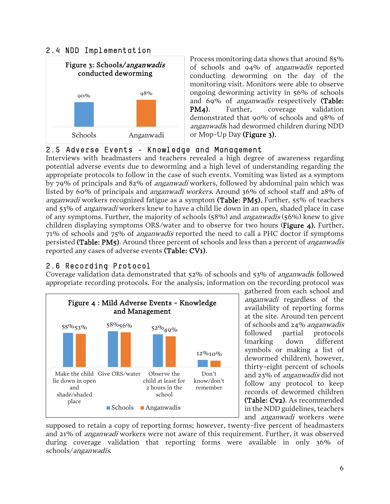### <span id="page-7-0"></span>2.4 NDD Implementation



Process monitoring data shows that around 85% of schools and 94% of anganwadis reported conducting deworming on the day of the monitoring visit. Monitors were able to observe ongoing deworming activity in 56% of schools and 69% of anganwadis respectively (Table: PM4). Further, coverage validation demonstrated that 90% of schools and 98% of anganwadis had dewormed children during NDD or Mop-Up Day (Figure 3).

## <span id="page-7-1"></span>2.5 Adverse Events - Knowledge and Management

Interviews with headmasters and teachers revealed a high degree of awareness regarding potential adverse events due to deworming and a high level of understanding regarding the appropriate protocols to follow in the case of such events. Vomiting was listed as a symptom by 79% of principals and 82% of anganwadi workers, followed by abdominal pain which was listed by 60% of principals and anganwadi workers. Around 36% of school staff and 28% of *anganwadi* workers recognized fatigue as a symptom (Table:  $PM5$ ). Further, 55% of teachers and 53% of anganwadi workers knew to have a child lie down in an open, shaded place in case of any symptoms. Further, the majority of schools (58%) and anganwadis (56%) knew to give children displaying symptoms ORS/water and to observe for two hours (Figure 4). Further, 71% of schools and 75% of anganwadis reported the need to call a PHC doctor if symptoms persisted (Table: PM5). Around three percent of schools and less than a percent of *anganwadis* reported any cases of adverse events (Table: CV1).

# <span id="page-7-2"></span>2.6 Recording Protocol

Coverage validation data demonstrated that 52% of schools and 53% of anganwadis followed appropriate recording protocols. For the analysis, information on the recording protocol was



gathered from each school and anganwadi regardless of the availability of reporting forms at the site. Around ten percent of schools and 24% anganwadis followed partial protocols (marking down different symbols or making a list of dewormed children), however, thirty-eight percent of schools and 23% of anganwadis did not follow any protocol to keep records of dewormed children (Table: Cv2). As recommended in the NDD guidelines, teachers and anganwadi workers were

supposed to retain a copy of reporting forms; however, twenty-five percent of headmasters and 21% of anganwadi workers were not aware of this requirement. Further, it was observed during coverage validation that reporting forms were available in only 36% of schools/anganwadis.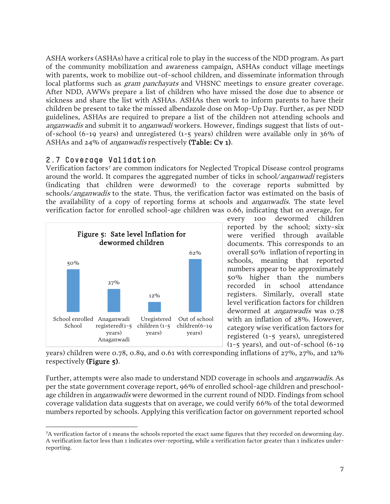ASHA workers (ASHAs) have a critical role to play in the success of the NDD program. As part of the community mobilization and awareness campaign, ASHAs conduct village meetings with parents, work to mobilize out-of-school children, and disseminate information through local platforms such as *gram panchayats* and VHSNC meetings to ensure greater coverage. After NDD, AWWs prepare a list of children who have missed the dose due to absence or sickness and share the list with ASHAs. ASHAs then work to inform parents to have their children be present to take the missed albendazole dose on Mop-Up Day. Further, as per NDD guidelines, ASHAs are required to prepare a list of the children not attending schools and anganwadis and submit it to anganwadi workers. However, findings suggest that lists of outof-school (6-19 years) and unregistered (1-5 years) children were available only in 36% of ASHAs and 24% of *anganwadis* respectively (Table: Cv 1).

## <span id="page-8-0"></span>2.7 Coverage Validation

Verification factors<sup>[7](#page-8-1)</sup> are common indicators for Neglected Tropical Disease control programs around the world. It compares the aggregated number of ticks in school/anganwadi registers (indicating that children were dewormed) to the coverage reports submitted by schools/anganwadis to the state. Thus, the verification factor was estimated on the basis of the availability of a copy of reporting forms at schools and *anganwadis*. The state level verification factor for enrolled school-age children was 0.66, indicating that on average, for



every 100 dewormed children reported by the school; sixty-six were verified through available documents. This corresponds to an overall 50% inflation of reporting in schools, meaning that reported numbers appear to be approximately 50% higher than the numbers recorded in school attendance registers. Similarly, overall state level verification factors for children dewormed at *anganwadis* was 0.78 with an inflation of 28%. However, category wise verification factors for registered (1-5 years), unregistered (1-5 years), and out-of-school (6-19

years) children were 0.78, 0.89, and 0.61 with corresponding inflations of 27%, 27%, and 12% respectively (Figure 5).

Further, attempts were also made to understand NDD coverage in schools and anganwadis. As per the state government coverage report, 96% of enrolled school-age children and preschoolage children in *anganwadis* were dewormed in the current round of NDD. Findings from school coverage validation data suggests that on average, we could verify 66% of the total dewormed numbers reported by schools. Applying this verification factor on government reported school

<span id="page-8-1"></span> <sup>7</sup>A verification factor of 1 means the schools reported the exact same figures that they recorded on deworming day. A verification factor less than 1 indicates over-reporting, while a verification factor greater than 1 indicates underreporting.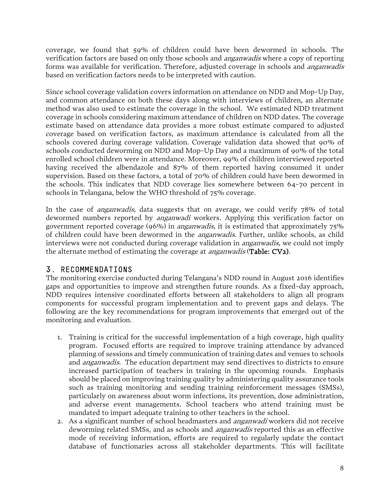coverage, we found that 59% of children could have been dewormed in schools. The verification factors are based on only those schools and anganwadis where a copy of reporting forms was available for verification. Therefore, adjusted coverage in schools and *anganwadis* based on verification factors needs to be interpreted with caution.

Since school coverage validation covers information on attendance on NDD and Mop-Up Day, and common attendance on both these days along with interviews of children, an alternate method was also used to estimate the coverage in the school. We estimated NDD treatment coverage in schools considering maximum attendance of children on NDD dates. The coverage estimate based on attendance data provides a more robust estimate compared to adjusted coverage based on verification factors, as maximum attendance is calculated from all the schools covered during coverage validation. Coverage validation data showed that 90% of schools conducted deworming on NDD and Mop-Up Day and a maximum of 90% of the total enrolled school children were in attendance. Moreover, 99% of children interviewed reported having received the albendazole and 87% of them reported having consumed it under supervision. Based on these factors, a total of 70% of children could have been dewormed in the schools. This indicates that NDD coverage lies somewhere between 64-70 percent in schools in Telangana, below the WHO threshold of 75% coverage.

In the case of *anganwadis*, data suggests that on average, we could verify 78% of total dewormed numbers reported by *anganwadi* workers. Applying this verification factor on government reported coverage (96%) in *anganwadis*, it is estimated that approximately  $75\%$ of children could have been dewormed in the *anganwadis*. Further, unlike schools, as child interviews were not conducted during coverage validation in *anganwadis*, we could not imply the alternate method of estimating the coverage at *anganwadis* (Table: CV2).

# <span id="page-9-0"></span>3. RECOMMENDATIONS

The monitoring exercise conducted during Telangana's NDD round in August 2016 identifies gaps and opportunities to improve and strengthen future rounds. As a fixed-day approach, NDD requires intensive coordinated efforts between all stakeholders to align all program components for successful program implementation and to prevent gaps and delays. The following are the key recommendations for program improvements that emerged out of the monitoring and evaluation.

- 1. Training is critical for the successful implementation of a high coverage, high quality program. Focused efforts are required to improve training attendance by advanced planning of sessions and timely communication of training dates and venues to schools and *anganwadis*. The education department may send directives to districts to ensure increased participation of teachers in training in the upcoming rounds. Emphasis should be placed on improving training quality by administering quality assurance tools such as training monitoring and sending training reinforcement messages (SMSs), particularly on awareness about worm infections, its prevention, dose administration, and adverse event managements. School teachers who attend training must be mandated to impart adequate training to other teachers in the school.
- 2. As a significant number of school headmasters and *anganwadi* workers did not receive deworming related SMSs, and as schools and *anganwadis* reported this as an effective mode of receiving information, efforts are required to regularly update the contact database of functionaries across all stakeholder departments. This will facilitate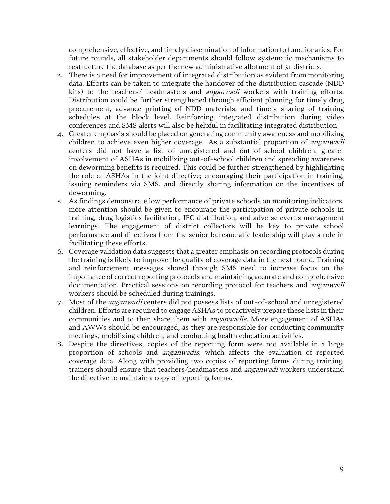comprehensive, effective, and timely dissemination of information to functionaries. For future rounds, all stakeholder departments should follow systematic mechanisms to restructure the database as per the new administrative allotment of 31 districts.

- 3. There is a need for improvement of integrated distribution as evident from monitoring data. Efforts can be taken to integrate the handover of the distribution cascade (NDD kits) to the teachers/ headmasters and *anganwadi* workers with training efforts. Distribution could be further strengthened through efficient planning for timely drug procurement, advance printing of NDD materials, and timely sharing of training schedules at the block level. Reinforcing integrated distribution during video conferences and SMS alerts will also be helpful in facilitating integrated distribution.
- 4. Greater emphasis should be placed on generating community awareness and mobilizing children to achieve even higher coverage. As a substantial proportion of *anganwadi* centers did not have a list of unregistered and out-of-school children, greater involvement of ASHAs in mobilizing out-of-school children and spreading awareness on deworming benefits is required. This could be further strengthened by highlighting the role of ASHAs in the joint directive; encouraging their participation in training, issuing reminders via SMS, and directly sharing information on the incentives of deworming.
- 5. As findings demonstrate low performance of private schools on monitoring indicators, more attention should be given to encourage the participation of private schools in training, drug logistics facilitation, IEC distribution, and adverse events management learnings. The engagement of district collectors will be key to private school performance and directives from the senior bureaucratic leadership will play a role in facilitating these efforts.
- 6. Coverage validation data suggests that a greater emphasis on recording protocols during the training is likely to improve the quality of coverage data in the next round. Training and reinforcement messages shared through SMS need to increase focus on the importance of correct reporting protocols and maintaining accurate and comprehensive documentation. Practical sessions on recording protocol for teachers and *anganwadi* workers should be scheduled during trainings.
- 7. Most of the anganwadi centers did not possess lists of out-of-school and unregistered children. Efforts are required to engage ASHAs to proactively prepare these lists in their communities and to then share them with *anganwadis*. More engagement of ASHAs and AWWs should be encouraged, as they are responsible for conducting community meetings, mobilizing children, and conducting health education activities.
- 8. Despite the directives, copies of the reporting form were not available in a large proportion of schools and anganwadis, which affects the evaluation of reported coverage data. Along with providing two copies of reporting forms during training, trainers should ensure that teachers/headmasters and *anganwadi* workers understand the directive to maintain a copy of reporting forms.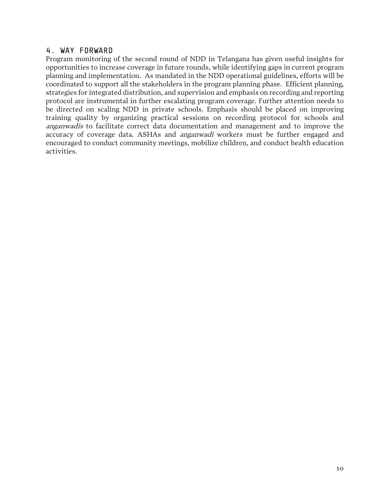#### <span id="page-11-0"></span>4. WAY FORWARD

Program monitoring of the second round of NDD in Telangana has given useful insights for opportunities to increase coverage in future rounds, while identifying gaps in current program planning and implementation. As mandated in the NDD operational guidelines, efforts will be coordinated to support all the stakeholders in the program planning phase. Efficient planning, strategies for integrated distribution, and supervision and emphasis on recording and reporting protocol are instrumental in further escalating program coverage. Further attention needs to be directed on scaling NDD in private schools. Emphasis should be placed on improving training quality by organizing practical sessions on recording protocol for schools and anganwadis to facilitate correct data documentation and management and to improve the accuracy of coverage data. ASHAs and *anganwadi* workers must be further engaged and encouraged to conduct community meetings, mobilize children, and conduct health education activities.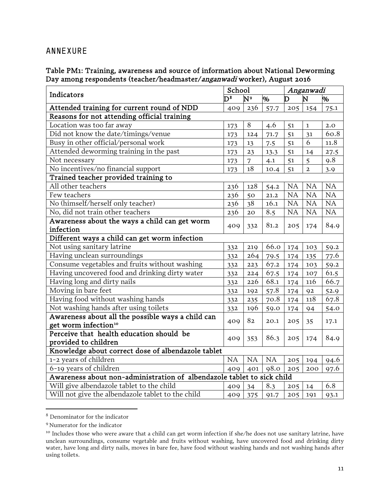## <span id="page-12-0"></span>ANNEXURE

#### Table PM1: Training, awareness and source of information about National Deworming Day among respondents (teacher/headmaster/anganwadi worker), August 2016

| Indicators                                                             | School                  |                |           | Anganwadi |                |           |  |
|------------------------------------------------------------------------|-------------------------|----------------|-----------|-----------|----------------|-----------|--|
|                                                                        | $\overline{\mathsf{C}}$ | N۶             | %         | D         | N              | %         |  |
| Attended training for current round of NDD                             | 409                     | 236            | 57.7      | 205       | 154            | 75.1      |  |
| Reasons for not attending official training                            |                         |                |           |           |                |           |  |
| Location was too far away                                              | 173                     | 8              | 4.6       | 51        | 1              | 2.0       |  |
| Did not know the date/timings/venue                                    | 173                     | 124            | 71.7      | 51        | 31             | 60.8      |  |
| Busy in other official/personal work                                   | 173                     | 13             | 7.5       | 51        | 6              | 11.8      |  |
| Attended deworming training in the past                                | 173                     | 23             | 13.3      | 51        | 14             | 27.5      |  |
| Not necessary                                                          | 173                     | $\overline{7}$ | 4.1       | 51        | 5              | 9.8       |  |
| No incentives/no financial support                                     | 173                     | 18             | 10.4      | 51        | $\overline{a}$ | 3.9       |  |
| Trained teacher provided training to                                   |                         |                |           |           |                |           |  |
| All other teachers                                                     | 236                     | 128            | 54.2      | NA        | NA             | <b>NA</b> |  |
| Few teachers                                                           | 236                     | 50             | 21.2      | <b>NA</b> | <b>NA</b>      | NA        |  |
| No (himself/herself only teacher)                                      | 236                     | 38             | 16.1      | NA        | <b>NA</b>      | NA        |  |
| No, did not train other teachers                                       | 236                     | 20             | 8.5       | <b>NA</b> | <b>NA</b>      | NA        |  |
| Awareness about the ways a child can get worm                          |                         |                |           |           |                |           |  |
| infection                                                              | 409                     | 332            | 81.2      | 205       | 174            | 84.9      |  |
| Different ways a child can get worm infection                          |                         |                |           |           |                |           |  |
| Not using sanitary latrine                                             | 332                     | 219            | 66.0      | 174       | 103            | 59.2      |  |
| Having unclean surroundings                                            | 332                     | 264            | 79.5      | 174       | 135            | 77.6      |  |
| Consume vegetables and fruits without washing                          | 332                     | 223            | 67.2      | 174       | 103            | 59.2      |  |
| Having uncovered food and drinking dirty water                         | 332                     | 224            | 67.5      | 174       | 107            | 61.5      |  |
| Having long and dirty nails                                            | 332                     | 226            | 68.1      | 174       | 116            | 66.7      |  |
| Moving in bare feet                                                    | 332                     | 192            | 57.8      | 174       | 92             | 52.9      |  |
| Having food without washing hands                                      | 332                     | 235            | 70.8      | 174       | 118            | 67.8      |  |
| Not washing hands after using toilets                                  | 332                     | 196            | 59.0      | 174       | 94             | 54.0      |  |
| Awareness about all the possible ways a child can                      |                         | 82             |           |           |                | 17.1      |  |
| get worm infection <sup>10</sup>                                       | 409                     |                | 20.1      | 205       | 35             |           |  |
| Perceive that health education should be                               |                         |                | 86.3      | 205       |                | 84.9      |  |
| provided to children                                                   | 409                     | 353            |           |           | 174            |           |  |
| Knowledge about correct dose of albendazole tablet                     |                         |                |           |           |                |           |  |
| 1-2 years of children                                                  | NA                      | NA             | <b>NA</b> | 205       | 194            | 94.6      |  |
| 6-19 years of children                                                 | 409                     | 401            | 98.0      | 205       | 200            | 97.6      |  |
| Awareness about non-administration of albendazole tablet to sick child |                         |                |           |           |                |           |  |
| Will give albendazole tablet to the child                              | 409                     | 34             | 8.3       | 205       | 14             | 6.8       |  |
| Will not give the albendazole tablet to the child                      | 409                     | 375            | 91.7      | 205       | 191            | 93.1      |  |

<span id="page-12-1"></span><sup>8</sup> Denominator for the indicator

 $\overline{\phantom{a}}$ 

<span id="page-12-2"></span><sup>9</sup> Numerator for the indicator

<span id="page-12-3"></span><sup>&</sup>lt;sup>10</sup> Includes those who were aware that a child can get worm infection if she/he does not use sanitary latrine, have unclean surroundings, consume vegetable and fruits without washing, have uncovered food and drinking dirty water, have long and dirty nails, moves in bare fee, have food without washing hands and not washing hands after using toilets.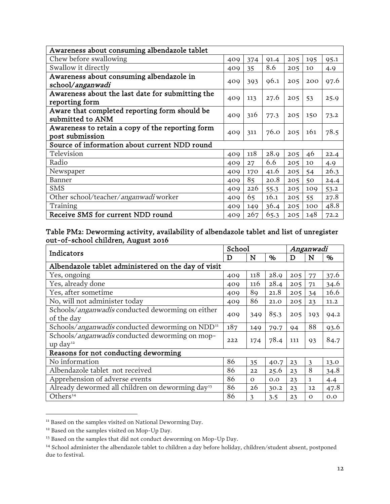| Awareness about consuming albendazole tablet                        |     |     |      |     |     |      |  |  |
|---------------------------------------------------------------------|-----|-----|------|-----|-----|------|--|--|
| Chew before swallowing                                              | 409 | 374 | 91.4 | 205 | 195 | 95.1 |  |  |
| Swallow it directly                                                 | 409 | 35  | 8.6  | 205 | 10  | 4.9  |  |  |
| Awareness about consuming albendazole in<br>school/anganwadi        | 409 | 393 | 96.1 | 205 | 200 | 97.6 |  |  |
| Awareness about the last date for submitting the<br>reporting form  | 409 | 113 | 27.6 | 205 | 53  | 25.9 |  |  |
| Aware that completed reporting form should be<br>submitted to ANM   | 409 | 316 | 77.3 | 205 | 150 | 73.2 |  |  |
| Awareness to retain a copy of the reporting form<br>post submission | 409 | 311 | 76.0 | 205 | 161 | 78.5 |  |  |
| Source of information about current NDD round                       |     |     |      |     |     |      |  |  |
| Television                                                          | 409 | 118 | 28.9 | 205 | 46  | 22.4 |  |  |
| Radio                                                               | 409 | 27  | 6.6  | 205 | 10  | 4.9  |  |  |
| Newspaper                                                           | 409 | 170 | 41.6 | 205 | 54  | 26.3 |  |  |
| Banner                                                              | 409 | 85  | 20.8 | 205 | 50  | 24.4 |  |  |
| <b>SMS</b>                                                          | 409 | 226 | 55.3 | 205 | 109 | 53.2 |  |  |
| Other school/teacher/anganwadi worker                               | 409 | 65  | 16.1 | 205 | 55  | 27.8 |  |  |
| Training                                                            | 409 | 149 | 36.4 | 205 | 100 | 48.8 |  |  |
| Receive SMS for current NDD round                                   | 409 | 267 | 65.3 | 205 | 148 | 72.2 |  |  |

#### Table PM2: Deworming activity, availability of albendazole tablet and list of unregister out-of-school children, August 2016

| Indicators                                                   |     | School   |      | Anganwadi |              |      |  |
|--------------------------------------------------------------|-----|----------|------|-----------|--------------|------|--|
|                                                              |     | N        | $\%$ | D         | N            | %    |  |
| Albendazole tablet administered on the day of visit          |     |          |      |           |              |      |  |
| Yes, ongoing                                                 | 409 | 118      | 28.9 | 205       | 77           | 37.6 |  |
| Yes, already done                                            | 409 | 116      | 28.4 | 205       | 71           | 34.6 |  |
| Yes, after sometime                                          | 409 | 89       | 21.8 | 205       | 34           | 16.6 |  |
| No, will not administer today                                | 409 | 86       | 21.0 | 205       | 23           | 11.2 |  |
| Schools/anganwadis conducted deworming on either             |     |          | 85.3 | 205       |              |      |  |
| of the day                                                   | 409 | 349      |      |           | 193          | 94.2 |  |
| Schools/anganwadis conducted deworming on NDD <sup>11</sup>  | 187 | 149      | 79.7 | 94        | 88           | 93.6 |  |
| Schools/ <i>anganwadis</i> conducted deworming on mop-       | 222 | 174      | 78.4 | 111       | 93           | 84.7 |  |
| up day <sup>12</sup>                                         |     |          |      |           |              |      |  |
| Reasons for not conducting deworming                         |     |          |      |           |              |      |  |
| No information                                               | 86  | 35       | 40.7 | 23        | 3            | 13.0 |  |
| Albendazole tablet not received                              | 86  | 22       | 25.6 | 23        | 8            | 34.8 |  |
| Apprehension of adverse events                               | 86  | $\Omega$ | 0.0  | 23        | $\mathbf{1}$ | 4.4  |  |
| Already dewormed all children on deworming day <sup>13</sup> | 86  | 26       | 30.2 | 23        | 12           | 47.8 |  |
| Others <sup>14</sup>                                         | 86  | 3        | 3.5  | 23        | $\Omega$     | 0.0  |  |

 $11$  Based on the samples visited on National Deworming Day.

 $\overline{a}$ 

<span id="page-13-1"></span><span id="page-13-0"></span><sup>&</sup>lt;sup>12</sup> Based on the samples visited on Mop-Up Day.

<span id="page-13-2"></span><sup>&</sup>lt;sup>13</sup> Based on the samples that did not conduct deworming on Mop-Up Day.

<span id="page-13-3"></span><sup>14</sup> School administer the albendazole tablet to children a day before holiday, children/student absent, postponed due to festival.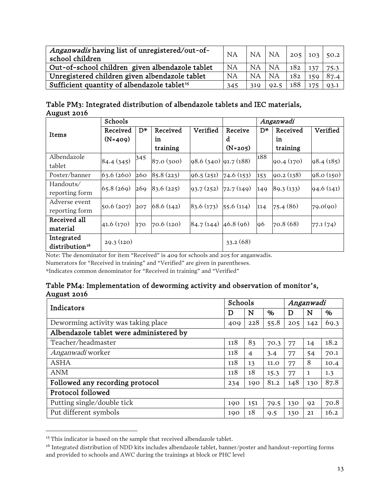| Anganwadis having list of unregistered/out-of-<br>school children | <b>NA</b> | NA NA     |           | 205 103 |     | 50.2 |
|-------------------------------------------------------------------|-----------|-----------|-----------|---------|-----|------|
| Out-of-school children given albendazole tablet                   | <b>NA</b> | <b>NA</b> | <b>NA</b> | 182     | 137 | 75.3 |
| Unregistered children given albendazole tablet                    | NA        | NA        | NA        | 182     | 159 | 87.4 |
| Sufficient quantity of albendazole tablet <sup>15</sup>           | 345       | 319       | 92.5      | 188     | 175 | 93.1 |

| Table PM3: Integrated distribution of albendazole tablets and IEC materials, |
|------------------------------------------------------------------------------|
| August 2016                                                                  |

|                            | Schools    |                |            |                           |            | Anganwadi |           |            |  |
|----------------------------|------------|----------------|------------|---------------------------|------------|-----------|-----------|------------|--|
| Items                      | Received   | D <sup>*</sup> | Received   | Verified                  | Receive    | D*        | Received  | Verified   |  |
|                            | $(N=409)$  |                | in         |                           | d          |           | in        |            |  |
|                            |            |                | training   |                           | $(N=205)$  |           | training  |            |  |
| Albendazole                | 84.4(345)  | 345            | 87.0 (300) | $98.6$ (340) $91.7$ (188) |            | 188       | 90.4(170) | 98.4(185)  |  |
| tablet                     |            |                |            |                           |            |           |           |            |  |
| Poster/banner              | 63.6(260)  | 260            | 85.8(223)  | 96.5(251)                 | 74.6 (153) | 153       | 90.2(138) | 98.0 (150) |  |
| Handouts/                  | 65.8(269)  | 269            | 83.6(225)  | 93.7(252)                 | 72.7(149)  |           | 89.3(133) | 94.6 (141) |  |
| reporting form             |            |                |            |                           |            | 149       |           |            |  |
| Adverse event              |            |                | 68.6(142)  |                           |            |           |           | 79.0(90)   |  |
| reporting form             | 50.6(207)  | 207            |            | 83.6 (173)                | 55.6(114)  | 114       | 75.4(86)  |            |  |
| Received all               | 41.6 (170) | 170            | 70.6 (120) | $84.7(144)$ 46.8 (96)     |            | 96        | 70.8(68)  | 77.1(74)   |  |
| material                   |            |                |            |                           |            |           |           |            |  |
| Integrated                 | 29.3(120)  |                |            |                           | 33.2(68)   |           |           |            |  |
| distribution <sup>16</sup> |            |                |            |                           |            |           |           |            |  |

Note: The denominator for item "Received" is 409 for schools and 205 for anganwadis.

Numerators for "Received in training" and "Verified" are given in parentheses.

\*Indicates common denominator for "Received in training" and "Verified"

#### Table PM4: Implementation of deworming activity and observation of monitor's, August 2016

| Indicators                              | Schools |                |      | Anganwadi |     |      |  |
|-----------------------------------------|---------|----------------|------|-----------|-----|------|--|
|                                         | D       | N              | %    | D         | N   | %    |  |
| Deworming activity was taking place     | 409     | 228            | 55.8 | 205       | 142 | 69.3 |  |
| Albendazole tablet were administered by |         |                |      |           |     |      |  |
| Teacher/headmaster                      | 118     | 83             | 70.3 | 77        | 14  | 18.2 |  |
| <i>Anganwadi</i> worker                 | 118     | $\overline{4}$ | 3.4  | 77        | 54  | 70.1 |  |
| <b>ASHA</b>                             | 118     | 13             | 11.0 | 77        | 8   | 10.4 |  |
| <b>ANM</b>                              | 118     | 18             | 15.3 | 77        | 1   | 1.3  |  |
| Followed any recording protocol         | 234     | 190            | 81.2 | 148       | 130 | 87.8 |  |
| Protocol followed                       |         |                |      |           |     |      |  |
| Putting single/double tick              | 190     | 151            | 79.5 | 130       | 92  | 70.8 |  |
| Put different symbols                   | 190     | 18             | 9.5  | 130       | 21  | 16.2 |  |

<span id="page-14-0"></span><sup>&</sup>lt;sup>15</sup> This indicator is based on the sample that received albendazole tablet.

l

<span id="page-14-1"></span><sup>16</sup> Integrated distribution of NDD kits includes albendazole tablet, banner/poster and handout-reporting forms and provided to schools and AWC during the trainings at block or PHC level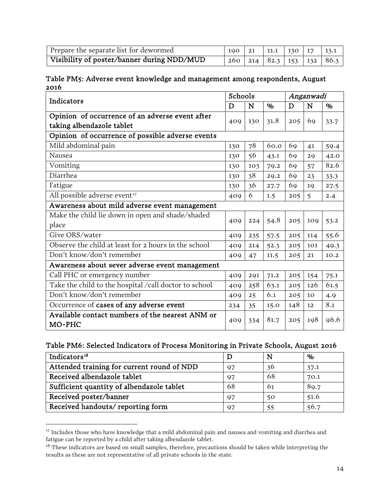| Prepare the separate list for dewormed     |  |  |                                     |
|--------------------------------------------|--|--|-------------------------------------|
| Visibility of poster/banner during NDD/MUD |  |  | 260   214   82.3   153   132   86.3 |

Table PM5: Adverse event knowledge and management among respondents, August 2016

| Indicators                                                                   |     | Schools |      | Anganwadi |     |      |  |
|------------------------------------------------------------------------------|-----|---------|------|-----------|-----|------|--|
|                                                                              | D   | N       | $\%$ | D         | N   | $\%$ |  |
| Opinion of occurrence of an adverse event after<br>taking albendazole tablet | 409 | 130     | 31.8 | 205       | 69  | 33.7 |  |
| Opinion of occurrence of possible adverse events                             |     |         |      |           |     |      |  |
| Mild abdominal pain                                                          | 130 | $78\,$  | 60.0 | 69        | 41  | 59.4 |  |
| Nausea                                                                       | 130 | 56      | 43.1 | 69        | 29  | 42.0 |  |
| Vomiting                                                                     | 130 | 103     | 79.2 | 69        | 57  | 82.6 |  |
| Diarrhea                                                                     | 130 | 38      | 29.2 | 69        | 23  | 33.3 |  |
| Fatigue                                                                      | 130 | 36      | 27.7 | 69        | 19  | 27.5 |  |
| All possible adverse event <sup>17</sup>                                     | 409 | 6       | 1.5  | 205       | 5   | 2.4  |  |
| Awareness about mild adverse event management                                |     |         |      |           |     |      |  |
| Make the child lie down in open and shade/shaded<br>place                    | 409 | 224     | 54.8 | 205       | 109 | 53.2 |  |
| Give ORS/water                                                               | 409 | 235     | 57.5 | 205       | 114 | 55.6 |  |
| Observe the child at least for 2 hours in the school                         | 409 | 214     | 52.3 | 205       | 101 | 49.3 |  |
| Don't know/don't remember                                                    | 409 | 47      | 11.5 | 205       | 21  | 10.2 |  |
| Awareness about sever adverse event management                               |     |         |      |           |     |      |  |
| Call PHC or emergency number                                                 | 409 | 291     | 71.2 | 205       | 154 | 75.1 |  |
| Take the child to the hospital /call doctor to school                        | 409 | 258     | 63.1 | 205       | 126 | 61.5 |  |
| Don't know/don't remember                                                    | 409 | 25      | 6.1  | 205       | 10  | 4.9  |  |
| Occurrence of cases of any adverse event                                     | 234 | 35      | 15.0 | 148       | 12  | 8.1  |  |
| Available contact numbers of the nearest ANM or<br>MO-PHC                    | 409 | 334     | 81.7 | 205       | 198 | 96.6 |  |

### Table PM6: Selected Indicators of Process Monitoring in Private Schools, August 2016

| Indicators <sup>18</sup>                   |    | N   | %    |
|--------------------------------------------|----|-----|------|
| Attended training for current round of NDD | 97 | 36  | 37.1 |
| Received albendazole tablet                | 97 | -68 | 70.1 |
| Sufficient quantity of albendazole tablet  | 68 | 61  | 89.7 |
| Received poster/banner                     | 97 | 50  | 51.6 |
| Received handouts/reporting form           | 97 | 55  | 56.7 |

<span id="page-15-0"></span><sup>&</sup>lt;sup>17</sup> Includes those who have knowledge that a mild abdominal pain and nausea and vomiting and diarrhea and fatigue can be reported by a child after taking albendazole tablet.

 $\overline{\phantom{a}}$ 

<span id="page-15-1"></span><sup>&</sup>lt;sup>18</sup> These indicators are based on small samples, therefore, precautions should be taken while interpreting the results as these are not representative of all private schools in the state.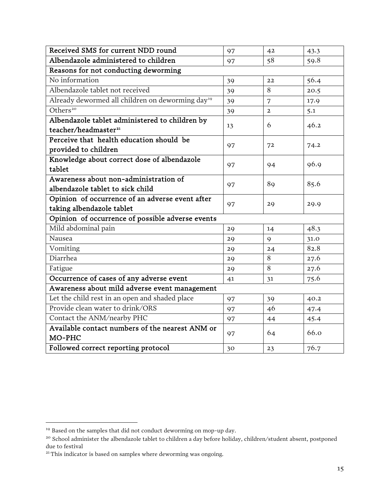| Received SMS for current NDD round                           | 97 | 42             | 43.3 |  |  |  |
|--------------------------------------------------------------|----|----------------|------|--|--|--|
| Albendazole administered to children                         | 97 | 58             | 59.8 |  |  |  |
| Reasons for not conducting deworming                         |    |                |      |  |  |  |
| No information                                               | 39 | 22             | 56.4 |  |  |  |
| Albendazole tablet not received                              | 39 | 8              | 20.5 |  |  |  |
| Already dewormed all children on deworming day <sup>19</sup> | 39 | 7              | 17.9 |  |  |  |
| Others <sup>20</sup>                                         | 39 | $\overline{2}$ | 5.1  |  |  |  |
| Albendazole tablet administered to children by               | 13 | 6              | 46.2 |  |  |  |
| teacher/headmaster <sup>21</sup>                             |    |                |      |  |  |  |
| Perceive that health education should be                     | 97 | 72             | 74.2 |  |  |  |
| provided to children                                         |    |                |      |  |  |  |
| Knowledge about correct dose of albendazole                  | 97 | 94             | 96.9 |  |  |  |
| tablet                                                       |    |                |      |  |  |  |
| Awareness about non-administration of                        | 97 | 89             | 85.6 |  |  |  |
| albendazole tablet to sick child                             |    |                |      |  |  |  |
| Opinion of occurrence of an adverse event after              | 97 | 29             | 29.9 |  |  |  |
| taking albendazole tablet                                    |    |                |      |  |  |  |
| Opinion of occurrence of possible adverse events             |    |                |      |  |  |  |
| Mild abdominal pain                                          | 29 | 14             | 48.3 |  |  |  |
| Nausea                                                       | 29 | $\mathsf{Q}$   | 31.0 |  |  |  |
| Vomiting                                                     | 29 | 24             | 82.8 |  |  |  |
| Diarrhea                                                     | 29 | 8              | 27.6 |  |  |  |
| Fatigue                                                      | 29 | 8              | 27.6 |  |  |  |
| Occurrence of cases of any adverse event                     | 41 | 31             | 75.6 |  |  |  |
| Awareness about mild adverse event management                |    |                |      |  |  |  |
| Let the child rest in an open and shaded place               | 97 | 39             | 40.2 |  |  |  |
| Provide clean water to drink/ORS                             | 97 | 46             | 47.4 |  |  |  |
| Contact the ANM/nearby PHC                                   | 97 | 44             | 45.4 |  |  |  |
| Available contact numbers of the nearest ANM or<br>MO-PHC    | 97 | 64             | 66.0 |  |  |  |
| Followed correct reporting protocol                          | 30 | 23             | 76.7 |  |  |  |

l

<span id="page-16-0"></span><sup>&</sup>lt;sup>19</sup> Based on the samples that did not conduct deworming on mop-up day.

<span id="page-16-1"></span><sup>&</sup>lt;sup>20</sup> School administer the albendazole tablet to children a day before holiday, children/student absent, postponed due to festival

<span id="page-16-2"></span> $21$ <sup>21</sup> This indicator is based on samples where deworming was ongoing.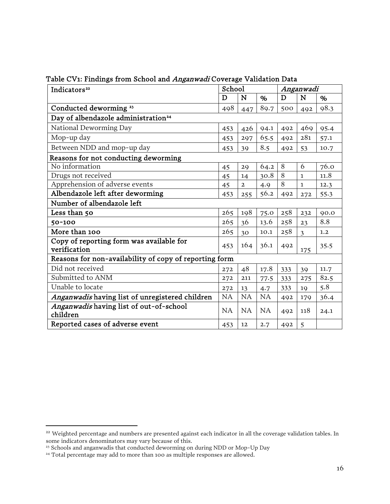| Indicators <sup>22</sup>                                 | School |                |      | Anganwadi |                |      |
|----------------------------------------------------------|--------|----------------|------|-----------|----------------|------|
|                                                          | D      | N              | %    | D         | N              | $\%$ |
| Conducted deworming <sup>23</sup>                        | 498    | 447            | 89.7 | 500       | 492            | 98.3 |
| Day of albendazole administration <sup>24</sup>          |        |                |      |           |                |      |
| National Deworming Day                                   | 453    | 426            | 94.1 | 492       | 469            | 95.4 |
| Mop-up day                                               | 453    | 297            | 65.5 | 492       | 281            | 57.1 |
| Between NDD and mop-up day                               | 453    | 39             | 8.5  | 492       | 53             | 10.7 |
| Reasons for not conducting deworming                     |        |                |      |           |                |      |
| No information                                           | 45     | 29             | 64.2 | 8         | 6              | 76.0 |
| Drugs not received                                       | 45     | 14             | 30.8 | 8         | 1              | 11.8 |
| Apprehension of adverse events                           | 45     | $\overline{2}$ | 4.9  | 8         | $\mathbf{1}$   | 12.3 |
| Albendazole left after deworming                         | 453    | 255            | 56.2 | 492       | 272            | 55.3 |
| Number of albendazole left                               |        |                |      |           |                |      |
| Less than 50                                             | 265    | 198            | 75.0 | 258       | 232            | 90.0 |
| $50 - 100$                                               | 265    | 36             | 13.6 | 258       | 23             | 8.8  |
| More than 100                                            | 265    | 30             | 10.1 | 258       | $\overline{3}$ | 1.2  |
| Copy of reporting form was available for<br>verification | 453    | 164            | 36.1 | 492       | 175            | 35.5 |
| Reasons for non-availability of copy of reporting form   |        |                |      |           |                |      |
| Did not received                                         | 272    | 48             | 17.8 | 333       | 39             | 11.7 |
| Submitted to ANM                                         | 272    | 211            | 77.5 | 333       | 275            | 82.5 |
| Unable to locate                                         | 272    | 13             | 4.7  | 333       | 19             | 5.8  |
| Anganwadis having list of unregistered children          | NA     | NA             | NA   | 492       | 179            | 36.4 |
| Anganwadis having list of out-of-school<br>children      | NA     | NA             | NA   | 492       | 118            | 24.1 |
| Reported cases of adverse event                          | 453    | 12             | 2.7  | 492       | 5              |      |

Table CV1: Findings from School and Anganwadi Coverage Validation Data

 $\overline{a}$ 

<span id="page-17-0"></span><sup>&</sup>lt;sup>22</sup> Weighted percentage and numbers are presented against each indicator in all the coverage validation tables. In some indicators denominators may vary because of this.

<sup>&</sup>lt;sup>23</sup> Schools and anganwadis that conducted deworming on during NDD or Mop-Up Day

<span id="page-17-2"></span><span id="page-17-1"></span><sup>&</sup>lt;sup>24</sup> Total percentage may add to more than 100 as multiple responses are allowed.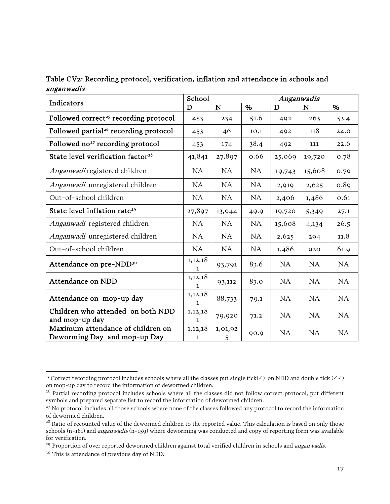| Table CV2: Recording protocol, verification, inflation and attendance in schools and |  |  |
|--------------------------------------------------------------------------------------|--|--|
| anganwadis                                                                           |  |  |

|                                                                   | School                  |              |      | Anganwadis |           |           |
|-------------------------------------------------------------------|-------------------------|--------------|------|------------|-----------|-----------|
| Indicators                                                        | D                       | N            | $\%$ | D          | N         | $\%$      |
| Followed correct <sup>25</sup> recording protocol                 | 453                     | 234          | 51.6 | 492        | 263       | 53.4      |
| Followed partial <sup>26</sup> recording protocol                 | 453                     | 46           | 10.1 | 492        | 118       | 24.0      |
| Followed no <sup>27</sup> recording protocol                      | 453                     | 174          | 38.4 | 492        | 111       | 22.6      |
| State level verification factor <sup>28</sup>                     | 41,841                  | 27,897       | 0.66 | 25,069     | 19,720    | 0.78      |
| Anganwadi registered children                                     | NA                      | NA           | NA   | 19,743     | 15,608    | 0.79      |
| Anganwadi unregistered children                                   | NA                      | NA           | NA   | 2,919      | 2,625     | 0.89      |
| Out-of-school children                                            | NA                      | NA           | NA   | 2,406      | 1,486     | 0.61      |
| State level inflation rate <sup>29</sup>                          | 27,897                  | 13,944       | 49.9 | 19,720     | 5,349     | 27.1      |
| Anganwadi registered children                                     | NA                      | NA           | NA   | 15,608     | 4,134     | 26.5      |
| Anganwadi unregistered children                                   | NA                      | NA           | NA   | 2,625      | 294       | 11.8      |
| Out-of-school children                                            | NA                      | NA           | NA   | 1,486      | 920       | 61.9      |
| Attendance on pre-NDD <sup>30</sup>                               | 1,12,18<br>1            | 93,791       | 83.6 | NA         | NA        | NA        |
| Attendance on NDD                                                 | 1,12,18<br>1            | 93,112       | 83.0 | NA         | NA        | NA        |
| Attendance on mop-up day                                          | 1,12,18<br>1            | 88,733       | 79.1 | <b>NA</b>  | <b>NA</b> | <b>NA</b> |
| Children who attended on both NDD<br>and mop-up day               | 1,12,18<br>$\mathbf{1}$ | 79,920       | 71.2 | NA         | NA        | NA        |
| Maximum attendance of children on<br>Deworming Day and mop-up Day | 1,12,18<br>$\mathbf{1}$ | 1,01,92<br>5 | 90.9 | NA         | <b>NA</b> | NA        |

<span id="page-18-1"></span><span id="page-18-0"></span> $\overline{\phantom{a}}$ <sup>25</sup> Correct recording protocol includes schools where all the classes put single tick( $\checkmark$ ) on NDD and double tick ( $\checkmark$ ) on mop-up day to record the information of dewormed children.

<span id="page-18-2"></span><sup>&</sup>lt;sup>26</sup> Partial recording protocol includes schools where all the classes did not follow correct protocol, put different symbols and prepared separate list to record the information of dewormed children.

<span id="page-18-3"></span><sup>&</sup>lt;sup>27</sup> No protocol includes all those schools where none of the classes followed any protocol to record the information of dewormed children.

<span id="page-18-4"></span><sup>&</sup>lt;sup>28</sup> Ratio of recounted value of the dewormed children to the reported value. This calculation is based on only those schools (n=181) and anganwadis (n=159) where deworming was conducted and copy of reporting form was available for verification.

<span id="page-18-6"></span><span id="page-18-5"></span><sup>&</sup>lt;sup>29</sup> Proportion of over reported dewormed children against total verified children in schools and *anganwadis.* <sup>30</sup> This is attendance of previous day of NDD.